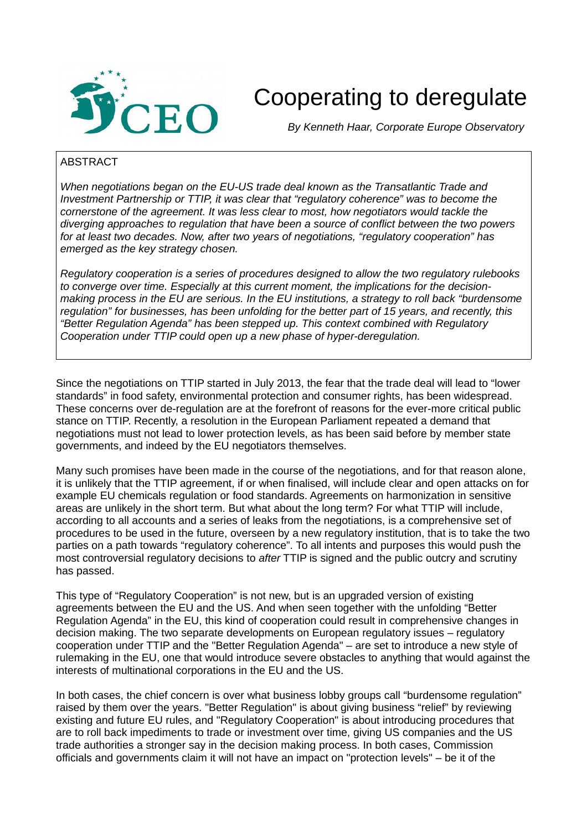

# Cooperating to deregulate

 *By Kenneth Haar, Corporate Europe Observatory*

## ABSTRACT

*When negotiations began on the EU-US trade deal known as the Transatlantic Trade and Investment Partnership or TTIP, it was clear that "regulatory coherence" was to become the cornerstone of the agreement. It was less clear to most, how negotiators would tackle the diverging approaches to regulation that have been a source of conflict between the two powers for at least two decades. Now, after two years of negotiations, "regulatory cooperation" has emerged as the key strategy chosen.* 

*Regulatory cooperation is a series of procedures designed to allow the two regulatory rulebooks to converge over time. Especially at this current moment, the implications for the decisionmaking process in the EU are serious. In the EU institutions, a strategy to roll back "burdensome regulation" for businesses, has been unfolding for the better part of 15 years, and recently, this "Better Regulation Agenda" has been stepped up. This context combined with Regulatory Cooperation under TTIP could open up a new phase of hyper-deregulation.* 

Since the negotiations on TTIP started in July 2013, the fear that the trade deal will lead to "lower standards" in food safety, environmental protection and consumer rights, has been widespread. These concerns over de-regulation are at the forefront of reasons for the ever-more critical public stance on TTIP. Recently, a resolution in the European Parliament repeated a demand that negotiations must not lead to lower protection levels, as has been said before by member state governments, and indeed by the EU negotiators themselves.

Many such promises have been made in the course of the negotiations, and for that reason alone, it is unlikely that the TTIP agreement, if or when finalised, will include clear and open attacks on for example EU chemicals regulation or food standards. Agreements on harmonization in sensitive areas are unlikely in the short term. But what about the long term? For what TTIP will include, according to all accounts and a series of leaks from the negotiations, is a comprehensive set of procedures to be used in the future, overseen by a new regulatory institution, that is to take the two parties on a path towards "regulatory coherence". To all intents and purposes this would push the most controversial regulatory decisions to *after* TTIP is signed and the public outcry and scrutiny has passed.

This type of "Regulatory Cooperation" is not new, but is an upgraded version of existing agreements between the EU and the US. And when seen together with the unfolding "Better Regulation Agenda" in the EU, this kind of cooperation could result in comprehensive changes in decision making. The two separate developments on European regulatory issues – regulatory cooperation under TTIP and the "Better Regulation Agenda" – are set to introduce a new style of rulemaking in the EU, one that would introduce severe obstacles to anything that would against the interests of multinational corporations in the EU and the US.

In both cases, the chief concern is over what business lobby groups call "burdensome regulation" raised by them over the years. "Better Regulation" is about giving business "relief" by reviewing existing and future EU rules, and "Regulatory Cooperation" is about introducing procedures that are to roll back impediments to trade or investment over time, giving US companies and the US trade authorities a stronger say in the decision making process. In both cases, Commission officials and governments claim it will not have an impact on "protection levels" – be it of the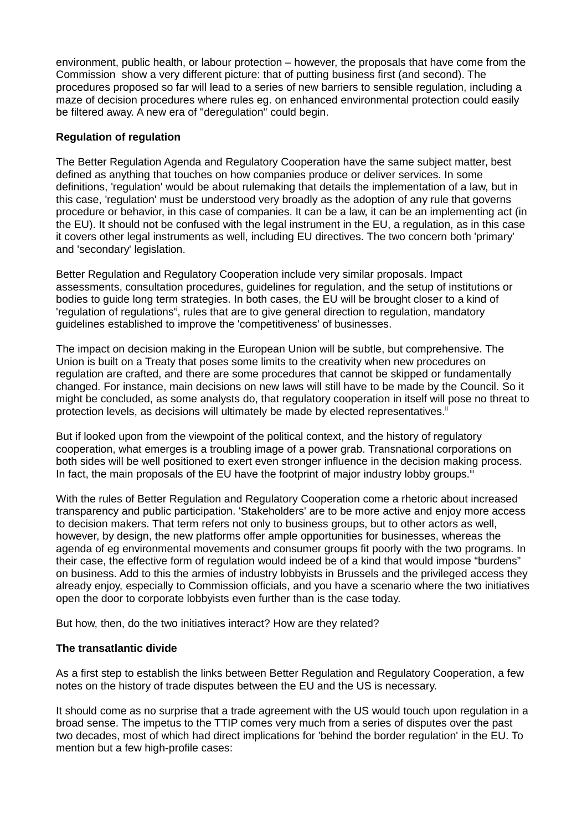environment, public health, or labour protection – however, the proposals that have come from the Commission show a very different picture: that of putting business first (and second). The procedures proposed so far will lead to a series of new barriers to sensible regulation, including a maze of decision procedures where rules eg. on enhanced environmental protection could easily be filtered away. A new era of "deregulation" could begin.

# **Regulation of regulation**

The Better Regulation Agenda and Regulatory Cooperation have the same subject matter, best defined as anything that touches on how companies produce or deliver services. In some definitions, 'regulation' would be about rulemaking that details the implementation of a law, but in this case, 'regulation' must be understood very broadly as the adoption of any rule that governs procedure or behavior, in this case of companies. It can be a law, it can be an implementing act (in the EU). It should not be confused with the legal instrument in the EU, a regulation, as in this case it covers other legal instruments as well, including EU directives. The two concern both 'primary' and 'secondary' legislation.

Better Regulation and Regulatory Cooperation include very similar proposals. Impact assessments, consultation procedures, guidelines for regulation, and the setup of institutions or bodies to guide long term strategies. In both cases, the EU will be brought closer to a kind of 'regulation of regulations", rules that are to give general direction to regulation, mandatory guidelines established to improve the 'competitiveness' of businesses.

The impact on decision making in the European Union will be subtle, but comprehensive. The Union is built on a Treaty that poses some limits to the creativity when new procedures on regulation are crafted, and there are some procedures that cannot be skipped or fundamentally changed. For instance, main decisions on new laws will still have to be made by the Council. So it might be concluded, as some analysts do, that regulatory cooperation in itself will pose no threat to protection levels, as decisions will ultimately be made by elected representatives.

But if looked upon from the viewpoint of the political context, and the history of regulatory cooperation, what emerges is a troubling image of a power grab. Transnational corporations on both sides will be well positioned to exert even stronger influence in the decision making process. In fact, the main proposals of the EU have the footprint of major industry lobby groups. $\ddot{=}$ 

With the rules of Better Regulation and Regulatory Cooperation come a rhetoric about increased transparency and public participation. 'Stakeholders' are to be more active and enjoy more access to decision makers. That term refers not only to business groups, but to other actors as well, however, by design, the new platforms offer ample opportunities for businesses, whereas the agenda of eg environmental movements and consumer groups fit poorly with the two programs. In their case, the effective form of regulation would indeed be of a kind that would impose "burdens" on business. Add to this the armies of industry lobbyists in Brussels and the privileged access they already enjoy, especially to Commission officials, and you have a scenario where the two initiatives open the door to corporate lobbyists even further than is the case today.

But how, then, do the two initiatives interact? How are they related?

# **The transatlantic divide**

As a first step to establish the links between Better Regulation and Regulatory Cooperation, a few notes on the history of trade disputes between the EU and the US is necessary.

It should come as no surprise that a trade agreement with the US would touch upon regulation in a broad sense. The impetus to the TTIP comes very much from a series of disputes over the past two decades, most of which had direct implications for 'behind the border regulation' in the EU. To mention but a few high-profile cases: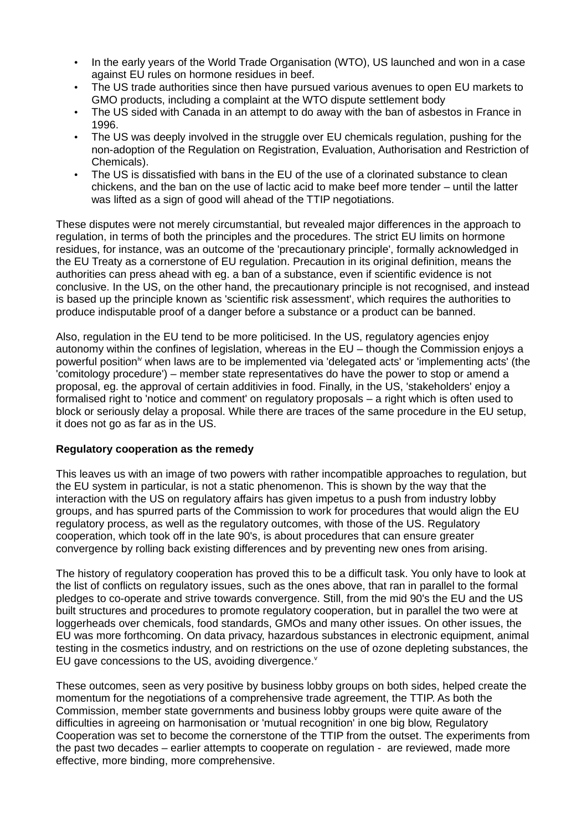- In the early years of the World Trade Organisation (WTO), US launched and won in a case against EU rules on hormone residues in beef.
- The US trade authorities since then have pursued various avenues to open EU markets to GMO products, including a complaint at the WTO dispute settlement body
- The US sided with Canada in an attempt to do away with the ban of asbestos in France in 1996.
- The US was deeply involved in the struggle over EU chemicals regulation, pushing for the non-adoption of the Regulation on Registration, Evaluation, Authorisation and Restriction of Chemicals).
- The US is dissatisfied with bans in the EU of the use of a clorinated substance to clean chickens, and the ban on the use of lactic acid to make beef more tender – until the latter was lifted as a sign of good will ahead of the TTIP negotiations.

These disputes were not merely circumstantial, but revealed major differences in the approach to regulation, in terms of both the principles and the procedures. The strict EU limits on hormone residues, for instance, was an outcome of the 'precautionary principle', formally acknowledged in the EU Treaty as a cornerstone of EU regulation. Precaution in its original definition, means the authorities can press ahead with eg. a ban of a substance, even if scientific evidence is not conclusive. In the US, on the other hand, the precautionary principle is not recognised, and instead is based up the principle known as 'scientific risk assessment', which requires the authorities to produce indisputable proof of a danger before a substance or a product can be banned.

Also, regulation in the EU tend to be more politicised. In the US, regulatory agencies enjoy autonomy within the confines of legislation, whereas in the EU – though the Commission enjoys a powerful positioniv when laws are to be implemented via 'delegated acts' or 'implementing acts' (the 'comitology procedure') – member state representatives do have the power to stop or amend a proposal, eg. the approval of certain additivies in food. Finally, in the US, 'stakeholders' enjoy a formalised right to 'notice and comment' on regulatory proposals – a right which is often used to block or seriously delay a proposal. While there are traces of the same procedure in the EU setup, it does not go as far as in the US.

# **Regulatory cooperation as the remedy**

This leaves us with an image of two powers with rather incompatible approaches to regulation, but the EU system in particular, is not a static phenomenon. This is shown by the way that the interaction with the US on regulatory affairs has given impetus to a push from industry lobby groups, and has spurred parts of the Commission to work for procedures that would align the EU regulatory process, as well as the regulatory outcomes, with those of the US. Regulatory cooperation, which took off in the late 90's, is about procedures that can ensure greater convergence by rolling back existing differences and by preventing new ones from arising.

The history of regulatory cooperation has proved this to be a difficult task. You only have to look at the list of conflicts on regulatory issues, such as the ones above, that ran in parallel to the formal pledges to co-operate and strive towards convergence. Still, from the mid 90's the EU and the US built structures and procedures to promote regulatory cooperation, but in parallel the two were at loggerheads over chemicals, food standards, GMOs and many other issues. On other issues, the EU was more forthcoming. On data privacy, hazardous substances in electronic equipment, animal testing in the cosmetics industry, and on restrictions on the use of ozone depleting substances, the EU gave concessions to the US, avoiding divergence.<sup>v</sup>

These outcomes, seen as very positive by business lobby groups on both sides, helped create the momentum for the negotiations of a comprehensive trade agreement, the TTIP. As both the Commission, member state governments and business lobby groups were quite aware of the difficulties in agreeing on harmonisation or 'mutual recognition' in one big blow, Regulatory Cooperation was set to become the cornerstone of the TTIP from the outset. The experiments from the past two decades – earlier attempts to cooperate on regulation - are reviewed, made more effective, more binding, more comprehensive.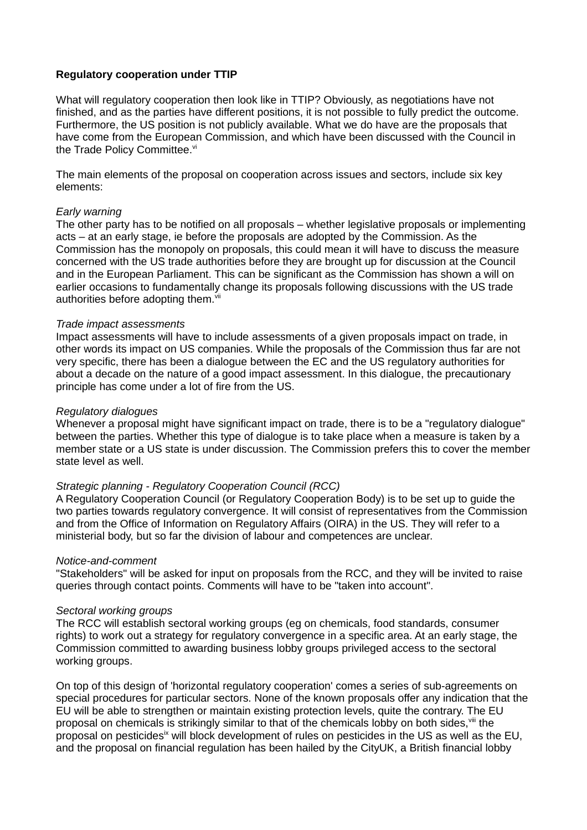## **Regulatory cooperation under TTIP**

What will regulatory cooperation then look like in TTIP? Obviously, as negotiations have not finished, and as the parties have different positions, it is not possible to fully predict the outcome. Furthermore, the US position is not publicly available. What we do have are the proposals that have come from the European Commission, and which have been discussed with the Council in the Trade Policy Committee. $vi$ 

The main elements of the proposal on cooperation across issues and sectors, include six key elements:

## *Early warning*

The other party has to be notified on all proposals – whether legislative proposals or implementing acts – at an early stage, ie before the proposals are adopted by the Commission. As the Commission has the monopoly on proposals, this could mean it will have to discuss the measure concerned with the US trade authorities before they are brought up for discussion at the Council and in the European Parliament. This can be significant as the Commission has shown a will on earlier occasions to fundamentally change its proposals following discussions with the US trade authorities before adopting them.<sup>vii</sup>

## *Trade impact assessments*

Impact assessments will have to include assessments of a given proposals impact on trade, in other words its impact on US companies. While the proposals of the Commission thus far are not very specific, there has been a dialogue between the EC and the US regulatory authorities for about a decade on the nature of a good impact assessment. In this dialogue, the precautionary principle has come under a lot of fire from the US.

## *Regulatory dialogues*

Whenever a proposal might have significant impact on trade, there is to be a "regulatory dialogue" between the parties. Whether this type of dialogue is to take place when a measure is taken by a member state or a US state is under discussion. The Commission prefers this to cover the member state level as well.

# *Strategic planning - Regulatory Cooperation Council (RCC)*

A Regulatory Cooperation Council (or Regulatory Cooperation Body) is to be set up to guide the two parties towards regulatory convergence. It will consist of representatives from the Commission and from the Office of Information on Regulatory Affairs (OIRA) in the US. They will refer to a ministerial body, but so far the division of labour and competences are unclear.

## *Notice-and-comment*

"Stakeholders" will be asked for input on proposals from the RCC, and they will be invited to raise queries through contact points. Comments will have to be "taken into account".

## *Sectoral working groups*

The RCC will establish sectoral working groups (eg on chemicals, food standards, consumer rights) to work out a strategy for regulatory convergence in a specific area. At an early stage, the Commission committed to awarding business lobby groups privileged access to the sectoral working groups.

On top of this design of 'horizontal regulatory cooperation' comes a series of sub-agreements on special procedures for particular sectors. None of the known proposals offer any indication that the EU will be able to strengthen or maintain existing protection levels, quite the contrary. The EU proposal on chemicals is strikingly similar to that of the chemicals lobby on both sides.<sup>viii</sup> the proposal on pesticides<sup>ix</sup> will block development of rules on pesticides in the US as well as the EU, and the proposal on financial regulation has been hailed by the CityUK, a British financial lobby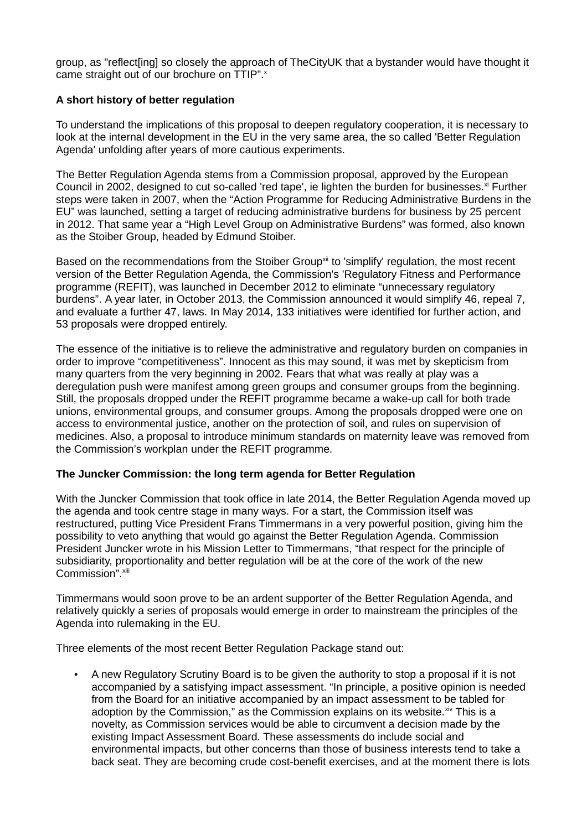group, as "reflect[ing] so closely the approach of TheCityUK that a bystander would have thought it came straight out of our brochure on TTIP".<sup>x</sup>

# **A short history of better regulation**

To understand the implications of this proposal to deepen regulatory cooperation, it is necessary to look at the internal development in the EU in the very same area, the so called 'Better Regulation Agenda' unfolding after years of more cautious experiments.

The Better Regulation Agenda stems from a Commission proposal, approved by the European Council in 2002, designed to cut so-called 'red tape', ie lighten the burden for businesses. $x$  Further steps were taken in 2007, when the "Action Programme for Reducing Administrative Burdens in the EU" was launched, setting a target of reducing administrative burdens for business by 25 percent in 2012. That same year a "High Level Group on Administrative Burdens" was formed, also known as the Stoiber Group, headed by Edmund Stoiber.

Based on the recommendations from the Stoiber Group<sup>xii</sup> to 'simplify' regulation, the most recent version of the Better Regulation Agenda, the Commission's 'Regulatory Fitness and Performance programme (REFIT), was launched in December 2012 to eliminate "unnecessary regulatory burdens". A year later, in October 2013, the Commission announced it would simplify 46, repeal 7, and evaluate a further 47, laws. In May 2014, 133 initiatives were identified for further action, and 53 proposals were dropped entirely.

The essence of the initiative is to relieve the administrative and regulatory burden on companies in order to improve "competitiveness". Innocent as this may sound, it was met by skepticism from many quarters from the very beginning in 2002. Fears that what was really at play was a deregulation push were manifest among green groups and consumer groups from the beginning. Still, the proposals dropped under the REFIT programme became a wake-up call for both trade unions, environmental groups, and consumer groups. Among the proposals dropped were one on access to environmental justice, another on the protection of soil, and rules on supervision of medicines. Also, a proposal to introduce minimum standards on maternity leave was removed from the Commission's workplan under the REFIT programme.

# **The Juncker Commission: the long term agenda for Better Regulation**

With the Juncker Commission that took office in late 2014, the Better Regulation Agenda moved up the agenda and took centre stage in many ways. For a start, the Commission itself was restructured, putting Vice President Frans Timmermans in a very powerful position, giving him the possibility to veto anything that would go against the Better Regulation Agenda. Commission President Juncker wrote in his Mission Letter to Timmermans, "that respect for the principle of subsidiarity, proportionality and better regulation will be at the core of the work of the new Commission". <sup>xiii</sup>

Timmermans would soon prove to be an ardent supporter of the Better Regulation Agenda, and relatively quickly a series of proposals would emerge in order to mainstream the principles of the Agenda into rulemaking in the EU.

Three elements of the most recent Better Regulation Package stand out:

• A new Regulatory Scrutiny Board is to be given the authority to stop a proposal if it is not accompanied by a satisfying impact assessment. "In principle, a positive opinion is needed from the Board for an initiative accompanied by an impact assessment to be tabled for adoption by the Commission," as the Commission explains on its website. $x^i$  This is a novelty, as Commission services would be able to circumvent a decision made by the existing Impact Assessment Board. These assessments do include social and environmental impacts, but other concerns than those of business interests tend to take a back seat. They are becoming crude cost-benefit exercises, and at the moment there is lots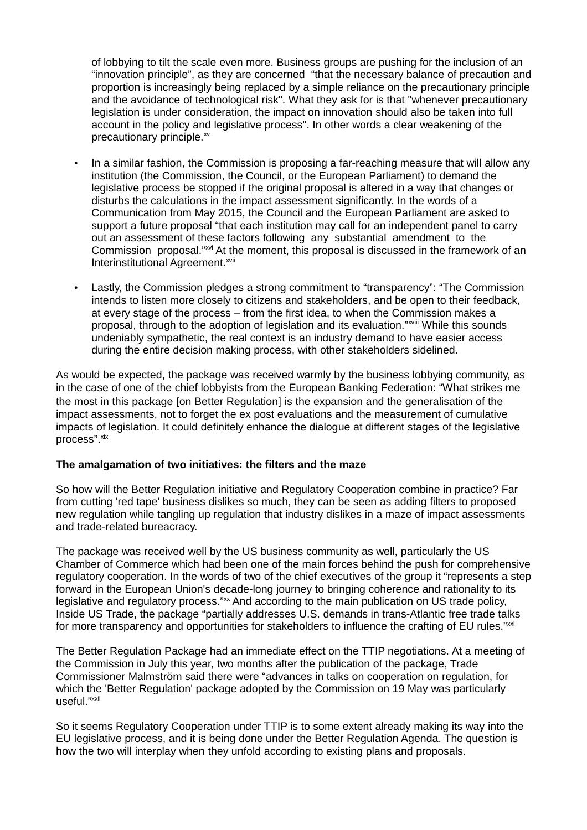of lobbying to tilt the scale even more. Business groups are pushing for the inclusion of an "innovation principle", as they are concerned "that the necessary balance of precaution and proportion is increasingly being replaced by a simple reliance on the precautionary principle and the avoidance of technological risk". What they ask for is that "whenever precautionary legislation is under consideration, the impact on innovation should also be taken into full account in the policy and legislative process". In other words a clear weakening of the precautionary principle.<sup>xv</sup>

- In a similar fashion, the Commission is proposing a far-reaching measure that will allow any institution (the Commission, the Council, or the European Parliament) to demand the legislative process be stopped if the original proposal is altered in a way that changes or disturbs the calculations in the impact assessment significantly. In the words of a Communication from May 2015, the Council and the European Parliament are asked to support a future proposal "that each institution may call for an independent panel to carry out an assessment of these factors following any substantial amendment to the Commission proposal."<sup>xvi</sup> At the moment, this proposal is discussed in the framework of an Interinstitutional Agreement.<sup>xvii</sup>
- Lastly, the Commission pledges a strong commitment to "transparency": "The Commission intends to listen more closely to citizens and stakeholders, and be open to their feedback, at every stage of the process – from the first idea, to when the Commission makes a proposal, through to the adoption of legislation and its evaluation."xviii While this sounds undeniably sympathetic, the real context is an industry demand to have easier access during the entire decision making process, with other stakeholders sidelined.

As would be expected, the package was received warmly by the business lobbying community, as in the case of one of the chief lobbyists from the European Banking Federation: "What strikes me the most in this package [on Better Regulation] is the expansion and the generalisation of the impact assessments, not to forget the ex post evaluations and the measurement of cumulative impacts of legislation. It could definitely enhance the dialogue at different stages of the legislative process". <sup>xix</sup>

# **The amalgamation of two initiatives: the filters and the maze**

So how will the Better Regulation initiative and Regulatory Cooperation combine in practice? Far from cutting 'red tape' business dislikes so much, they can be seen as adding filters to proposed new regulation while tangling up regulation that industry dislikes in a maze of impact assessments and trade-related bureacracy.

The package was received well by the US business community as well, particularly the US Chamber of Commerce which had been one of the main forces behind the push for comprehensive regulatory cooperation. In the words of two of the chief executives of the group it "represents a step forward in the European Union's decade-long journey to bringing coherence and rationality to its legislative and regulatory process."xx And according to the main publication on US trade policy, Inside US Trade, the package "partially addresses U.S. demands in trans-Atlantic free trade talks for more transparency and opportunities for stakeholders to influence the crafting of EU rules."xxi

The Better Regulation Package had an immediate effect on the TTIP negotiations. At a meeting of the Commission in July this year, two months after the publication of the package, Trade Commissioner Malmström said there were "advances in talks on cooperation on regulation, for which the 'Better Regulation' package adopted by the Commission on 19 May was particularly useful."xxii

So it seems Regulatory Cooperation under TTIP is to some extent already making its way into the EU legislative process, and it is being done under the Better Regulation Agenda. The question is how the two will interplay when they unfold according to existing plans and proposals.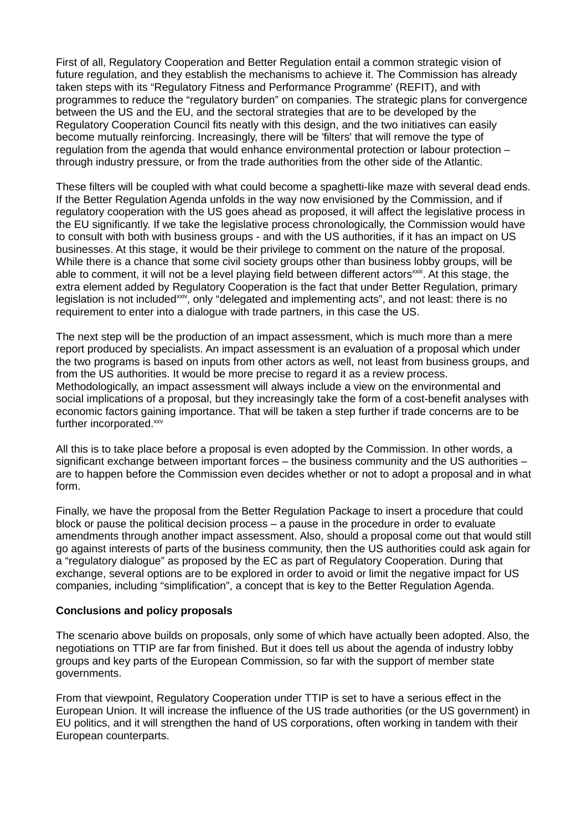First of all, Regulatory Cooperation and Better Regulation entail a common strategic vision of future regulation, and they establish the mechanisms to achieve it. The Commission has already taken steps with its "Regulatory Fitness and Performance Programme' (REFIT), and with programmes to reduce the "regulatory burden" on companies. The strategic plans for convergence between the US and the EU, and the sectoral strategies that are to be developed by the Regulatory Cooperation Council fits neatly with this design, and the two initiatives can easily become mutually reinforcing. Increasingly, there will be 'filters' that will remove the type of regulation from the agenda that would enhance environmental protection or labour protection – through industry pressure, or from the trade authorities from the other side of the Atlantic.

These filters will be coupled with what could become a spaghetti-like maze with several dead ends. If the Better Regulation Agenda unfolds in the way now envisioned by the Commission, and if regulatory cooperation with the US goes ahead as proposed, it will affect the legislative process in the EU significantly. If we take the legislative process chronologically, the Commission would have to consult with both with business groups - and with the US authorities, if it has an impact on US businesses. At this stage, it would be their privilege to comment on the nature of the proposal. While there is a chance that some civil society groups other than business lobby groups, will be able to comment, it will not be a level playing field between different actors<sup>xxiii</sup>. At this stage, the extra element added by Regulatory Cooperation is the fact that under Better Regulation, primary legislation is not included<sup>xxiv</sup>, only "delegated and implementing acts", and not least: there is no requirement to enter into a dialogue with trade partners, in this case the US.

The next step will be the production of an impact assessment, which is much more than a mere report produced by specialists. An impact assessment is an evaluation of a proposal which under the two programs is based on inputs from other actors as well, not least from business groups, and from the US authorities. It would be more precise to regard it as a review process. Methodologically, an impact assessment will always include a view on the environmental and social implications of a proposal, but they increasingly take the form of a cost-benefit analyses with economic factors gaining importance. That will be taken a step further if trade concerns are to be further incorporated.xxv

All this is to take place before a proposal is even adopted by the Commission. In other words, a significant exchange between important forces – the business community and the US authorities – are to happen before the Commission even decides whether or not to adopt a proposal and in what form.

Finally, we have the proposal from the Better Regulation Package to insert a procedure that could block or pause the political decision process – a pause in the procedure in order to evaluate amendments through another impact assessment. Also, should a proposal come out that would still go against interests of parts of the business community, then the US authorities could ask again for a "regulatory dialogue" as proposed by the EC as part of Regulatory Cooperation. During that exchange, several options are to be explored in order to avoid or limit the negative impact for US companies, including "simplification", a concept that is key to the Better Regulation Agenda.

## **Conclusions and policy proposals**

The scenario above builds on proposals, only some of which have actually been adopted. Also, the negotiations on TTIP are far from finished. But it does tell us about the agenda of industry lobby groups and key parts of the European Commission, so far with the support of member state governments.

From that viewpoint, Regulatory Cooperation under TTIP is set to have a serious effect in the European Union. It will increase the influence of the US trade authorities (or the US government) in EU politics, and it will strengthen the hand of US corporations, often working in tandem with their European counterparts.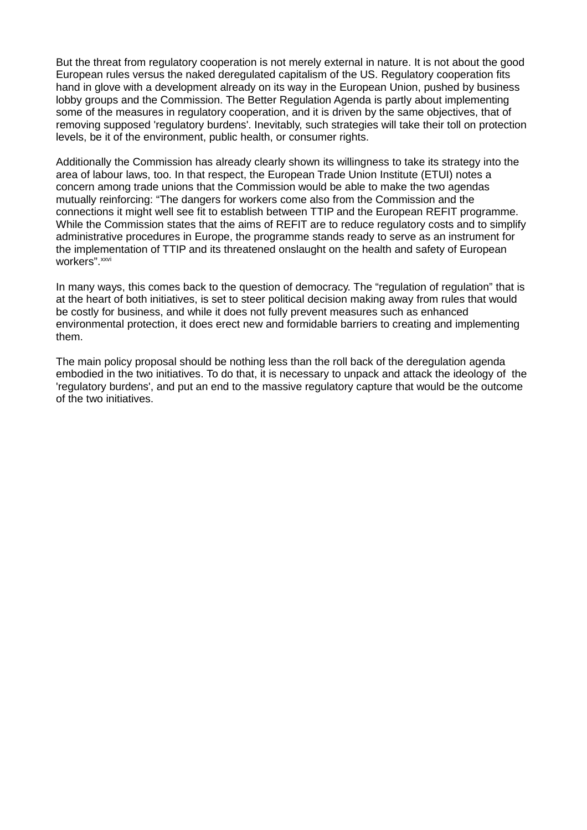But the threat from regulatory cooperation is not merely external in nature. It is not about the good European rules versus the naked deregulated capitalism of the US. Regulatory cooperation fits hand in glove with a development already on its way in the European Union, pushed by business lobby groups and the Commission. The Better Regulation Agenda is partly about implementing some of the measures in regulatory cooperation, and it is driven by the same objectives, that of removing supposed 'regulatory burdens'. Inevitably, such strategies will take their toll on protection levels, be it of the environment, public health, or consumer rights.

Additionally the Commission has already clearly shown its willingness to take its strategy into the area of labour laws, too. In that respect, the European Trade Union Institute (ETUI) notes a concern among trade unions that the Commission would be able to make the two agendas mutually reinforcing: "The dangers for workers come also from the Commission and the connections it might well see fit to establish between TTIP and the European REFIT programme. While the Commission states that the aims of REFIT are to reduce regulatory costs and to simplify administrative procedures in Europe, the programme stands ready to serve as an instrument for the implementation of TTIP and its threatened onslaught on the health and safety of European workers".<sup>xxvi</sup>

In many ways, this comes back to the question of democracy. The "regulation of regulation" that is at the heart of both initiatives, is set to steer political decision making away from rules that would be costly for business, and while it does not fully prevent measures such as enhanced environmental protection, it does erect new and formidable barriers to creating and implementing them.

The main policy proposal should be nothing less than the roll back of the deregulation agenda embodied in the two initiatives. To do that, it is necessary to unpack and attack the ideology of the 'regulatory burdens', and put an end to the massive regulatory capture that would be the outcome of the two initiatives.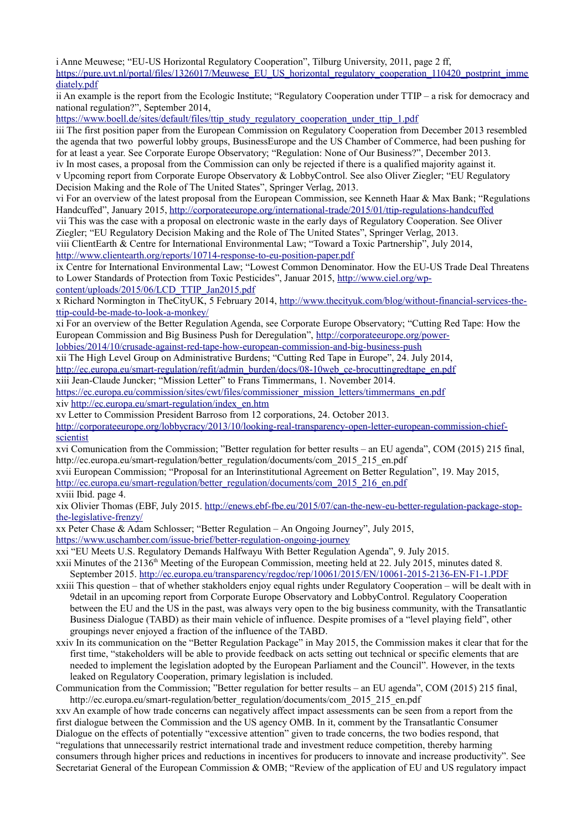i Anne Meuwese; "EU-US Horizontal Regulatory Cooperation", Tilburg University, 2011, page 2 ff, [https://pure.uvt.nl/portal/files/1326017/Meuwese\\_EU\\_US\\_horizontal\\_regulatory\\_cooperation\\_110420\\_postprint\\_imme](https://pure.uvt.nl/portal/files/1326017/Meuwese_EU_US_horizontal_regulatory_cooperation_110420_postprint_immediately.pdf) [diately.pdf](https://pure.uvt.nl/portal/files/1326017/Meuwese_EU_US_horizontal_regulatory_cooperation_110420_postprint_immediately.pdf)

ii An example is the report from the Ecologic Institute; "Regulatory Cooperation under TTIP – a risk for democracy and national regulation?", September 2014,

[https://www.boell.de/sites/default/files/ttip\\_study\\_regulatory\\_cooperation\\_under\\_ttip\\_1.pdf](https://www.boell.de/sites/default/files/ttip_study_regulatory_cooperation_under_ttip_1.pdf)

iii The first position paper from the European Commission on Regulatory Cooperation from December 2013 resembled the agenda that two powerful lobby groups, BusinessEurope and the US Chamber of Commerce, had been pushing for for at least a year. See Corporate Europe Observatory; "Regulation: None of Our Business?", December 2013. iv In most cases, a proposal from the Commission can only be rejected if there is a qualified majority against it. v Upcoming report from Corporate Europe Observatory & LobbyControl. See also Oliver Ziegler; "EU Regulatory

Decision Making and the Role of The United States", Springer Verlag, 2013.

vi For an overview of the latest proposal from the European Commission, see Kenneth Haar & Max Bank; "Regulations Handcuffed", January 2015,<http://corporateeurope.org/international-trade/2015/01/ttip-regulations-handcuffed>

vii This was the case with a proposal on electronic waste in the early days of Regulatory Cooperation. See Oliver

Ziegler; "EU Regulatory Decision Making and the Role of The United States", Springer Verlag, 2013.

viii ClientEarth & Centre for International Environmental Law; "Toward a Toxic Partnership", July 2014, <http://www.clientearth.org/reports/10714-response-to-eu-position-paper.pdf>

ix Centre for International Environmental Law; "Lowest Common Denominator. How the EU-US Trade Deal Threatens to Lower Standards of Protection from Toxic Pesticides", Januar 2015, [http://www.ciel.org/wp](http://www.ciel.org/wp-content/uploads/2015/06/LCD_TTIP_Jan2015.pdf)[content/uploads/2015/06/LCD\\_TTIP\\_Jan2015.pdf](http://www.ciel.org/wp-content/uploads/2015/06/LCD_TTIP_Jan2015.pdf)

x Richard Normington in TheCityUK, 5 February 2014, [http://www.thecityuk.com/blog/without-financial-services-the](http://www.thecityuk.com/blog/without-financial-services-the-ttip-could-be-made-to-look-a-monkey/)[ttip-could-be-made-to-look-a-monkey/](http://www.thecityuk.com/blog/without-financial-services-the-ttip-could-be-made-to-look-a-monkey/)

xi For an overview of the Better Regulation Agenda, see Corporate Europe Observatory; "Cutting Red Tape: How the European Commission and Big Business Push for Deregulation", [http://corporateeurope.org/power-](http://corporateeurope.org/power-lobbies/2014/10/crusade-against-red-tape-how-european-commission-and-big-business-push)

[lobbies/2014/10/crusade-against-red-tape-how-european-commission-and-big-business-push](http://corporateeurope.org/power-lobbies/2014/10/crusade-against-red-tape-how-european-commission-and-big-business-push)

xii The High Level Group on Administrative Burdens; "Cutting Red Tape in Europe", 24. July 2014,

[http://ec.europa.eu/smart-regulation/refit/admin\\_burden/docs/08-10web\\_ce-brocuttingredtape\\_en.pdf](http://ec.europa.eu/smart-regulation/refit/admin_burden/docs/08-10web_ce-brocuttingredtape_en.pdf)

xiii Jean-Claude Juncker; "Mission Letter" to Frans Timmermans, 1. November 2014.

[https://ec.europa.eu/commission/sites/cwt/files/commissioner\\_mission\\_letters/timmermans\\_en.pdf](https://ec.europa.eu/commission/sites/cwt/files/commissioner_mission_letters/timmermans_en.pdf) xiv [http://ec.europa.eu/smart-regulation/index\\_en.htm](http://ec.europa.eu/smart-regulation/index_en.htm)

xv Letter to Commission President Barroso from 12 corporations, 24. October 2013.

[http://corporateeurope.org/lobbycracy/2013/10/looking-real-transparency-open-letter-european-commission-chief](http://corporateeurope.org/lobbycracy/2013/10/looking-real-transparency-open-letter-european-commission-chief-scientist)[scientist](http://corporateeurope.org/lobbycracy/2013/10/looking-real-transparency-open-letter-european-commission-chief-scientist)

xvi Comunication from the Commission; "Better regulation for better results – an EU agenda", COM (2015) 215 final, http://ec.europa.eu/smart-regulation/better\_regulation/documents/com\_2015\_215\_en.pdf

xvii European Commission; "Proposal for an Interinstitutional Agreement on Better Regulation", 19. May 2015, [http://ec.europa.eu/smart-regulation/better\\_regulation/documents/com\\_2015\\_216\\_en.pdf](http://ec.europa.eu/smart-regulation/better_regulation/documents/com_2015_216_en.pdf)

xviii Ibid. page 4.

xix Olivier Thomas (EBF, July 2015. [http://enews.ebf-fbe.eu/2015/07/can-the-new-eu-better-regulation-package-stop](http://enews.ebf-fbe.eu/2015/07/can-the-new-eu-better-regulation-package-stop-the-legislative-frenzy/)[the-legislative-frenzy/](http://enews.ebf-fbe.eu/2015/07/can-the-new-eu-better-regulation-package-stop-the-legislative-frenzy/)

xx Peter Chase & Adam Schlosser; "Better Regulation – An Ongoing Journey", July 2015,

<https://www.uschamber.com/issue-brief/better-regulation-ongoing-journey>

xxi "EU Meets U.S. Regulatory Demands Halfwayu With Better Regulation Agenda", 9. July 2015.

xxii Minutes of the 2136th Meeting of the European Commission, meeting held at 22. July 2015, minutes dated 8. September 2015.<http://ec.europa.eu/transparency/regdoc/rep/10061/2015/EN/10061-2015-2136-EN-F1-1.PDF>

- xxiii This question that of whether stakholders enjoy equal rights under Regulatory Cooperation will be dealt with in 9detail in an upcoming report from Corporate Europe Observatory and LobbyControl. Regulatory Cooperation between the EU and the US in the past, was always very open to the big business community, with the Transatlantic Business Dialogue (TABD) as their main vehicle of influence. Despite promises of a "level playing field", other groupings never enjoyed a fraction of the influence of the TABD.
- xxiv In its communication on the "Better Regulation Package" in May 2015, the Commission makes it clear that for the first time, "stakeholders will be able to provide feedback on acts setting out technical or specific elements that are needed to implement the legislation adopted by the European Parliament and the Council". However, in the texts leaked on Regulatory Cooperation, primary legislation is included.

Communication from the Commission; "Better regulation for better results – an EU agenda", COM (2015) 215 final, http://ec.europa.eu/smart-regulation/better\_regulation/documents/com\_2015\_215\_en.pdf

xxv An example of how trade concerns can negatively affect impact assessments can be seen from a report from the first dialogue between the Commission and the US agency OMB. In it, comment by the Transatlantic Consumer Dialogue on the effects of potentially "excessive attention" given to trade concerns, the two bodies respond, that "regulations that unnecessarily restrict international trade and investment reduce competition, thereby harming consumers through higher prices and reductions in incentives for producers to innovate and increase productivity". See Secretariat General of the European Commission & OMB; "Review of the application of EU and US regulatory impact